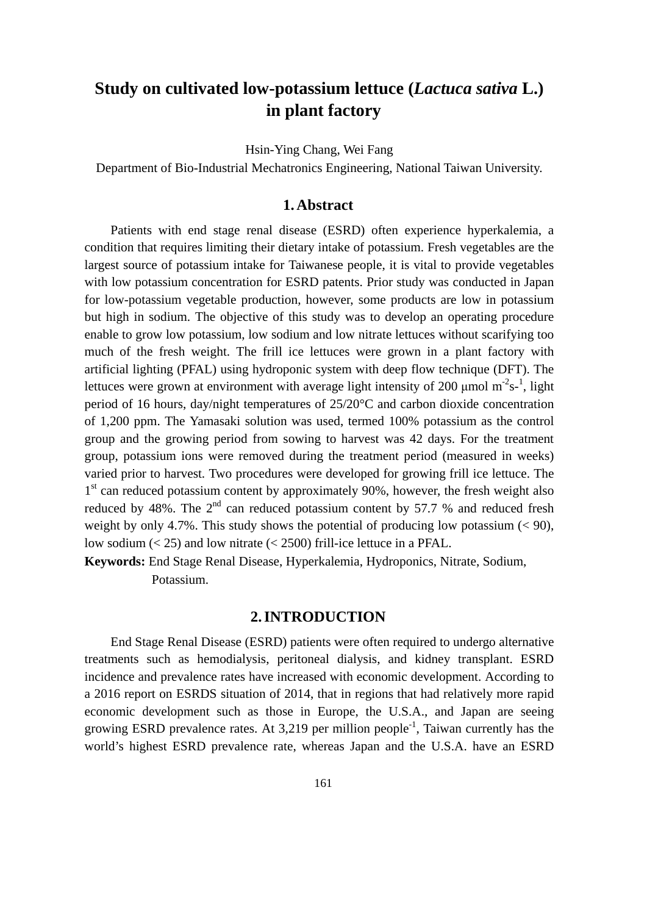# **Study on cultivated low-potassium lettuce (***Lactuca sativa* **L.) in plant factory**

Hsin-Ying Chang, Wei Fang

Department of Bio-Industrial Mechatronics Engineering, National Taiwan University.

#### **1. Abstract**

Patients with end stage renal disease (ESRD) often experience hyperkalemia, a condition that requires limiting their dietary intake of potassium. Fresh vegetables are the largest source of potassium intake for Taiwanese people, it is vital to provide vegetables with low potassium concentration for ESRD patents. Prior study was conducted in Japan for low-potassium vegetable production, however, some products are low in potassium but high in sodium. The objective of this study was to develop an operating procedure enable to grow low potassium, low sodium and low nitrate lettuces without scarifying too much of the fresh weight. The frill ice lettuces were grown in a plant factory with artificial lighting (PFAL) using hydroponic system with deep flow technique (DFT). The lettuces were grown at environment with average light intensity of 200  $\mu$ mol m<sup>-2</sup>s-<sup>1</sup>, light period of 16 hours, day/night temperatures of 25/20°C and carbon dioxide concentration of 1,200 ppm. The Yamasaki solution was used, termed 100% potassium as the control group and the growing period from sowing to harvest was 42 days. For the treatment group, potassium ions were removed during the treatment period (measured in weeks) varied prior to harvest. Two procedures were developed for growing frill ice lettuce. The  $1<sup>st</sup>$  can reduced potassium content by approximately 90%, however, the fresh weight also reduced by 48%. The  $2<sup>nd</sup>$  can reduced potassium content by 57.7 % and reduced fresh weight by only 4.7%. This study shows the potential of producing low potassium  $(< 90$ ), low sodium  $(< 25$ ) and low nitrate  $(< 2500)$  frill-ice lettuce in a PFAL.

**Keywords:** End Stage Renal Disease, Hyperkalemia, Hydroponics, Nitrate, Sodium, Potassium.

### **2. INTRODUCTION**

End Stage Renal Disease (ESRD) patients were often required to undergo alternative treatments such as hemodialysis, peritoneal dialysis, and kidney transplant. ESRD incidence and prevalence rates have increased with economic development. According to a 2016 report on ESRDS situation of 2014, that in regions that had relatively more rapid economic development such as those in Europe, the U.S.A., and Japan are seeing growing ESRD prevalence rates. At  $3,219$  per million people<sup>-1</sup>, Taiwan currently has the world's highest ESRD prevalence rate, whereas Japan and the U.S.A. have an ESRD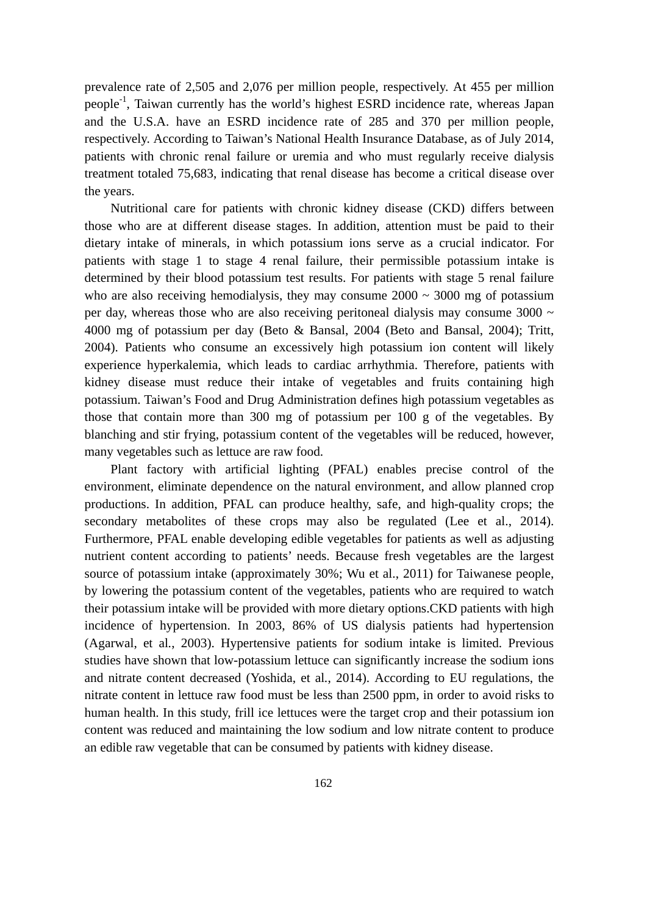prevalence rate of 2,505 and 2,076 per million people, respectively. At 455 per million people<sup>-1</sup>, Taiwan currently has the world's highest ESRD incidence rate, whereas Japan and the U.S.A. have an ESRD incidence rate of 285 and 370 per million people, respectively. According to Taiwan's National Health Insurance Database, as of July 2014, patients with chronic renal failure or uremia and who must regularly receive dialysis treatment totaled 75,683, indicating that renal disease has become a critical disease over the years.

Nutritional care for patients with chronic kidney disease (CKD) differs between those who are at different disease stages. In addition, attention must be paid to their dietary intake of minerals, in which potassium ions serve as a crucial indicator. For patients with stage 1 to stage 4 renal failure, their permissible potassium intake is determined by their blood potassium test results. For patients with stage 5 renal failure who are also receiving hemodialysis, they may consume  $2000 \sim 3000$  mg of potassium per day, whereas those who are also receiving peritoneal dialysis may consume  $3000 \sim$ 4000 mg of potassium per day (Beto & Bansal, 2004 (Beto and Bansal, 2004); Tritt, 2004). Patients who consume an excessively high potassium ion content will likely experience hyperkalemia, which leads to cardiac arrhythmia. Therefore, patients with kidney disease must reduce their intake of vegetables and fruits containing high potassium. Taiwan's Food and Drug Administration defines high potassium vegetables as those that contain more than 300 mg of potassium per 100 g of the vegetables. By blanching and stir frying, potassium content of the vegetables will be reduced, however, many vegetables such as lettuce are raw food.

Plant factory with artificial lighting (PFAL) enables precise control of the environment, eliminate dependence on the natural environment, and allow planned crop productions. In addition, PFAL can produce healthy, safe, and high-quality crops; the secondary metabolites of these crops may also be regulated (Lee et al., 2014). Furthermore, PFAL enable developing edible vegetables for patients as well as adjusting nutrient content according to patients' needs. Because fresh vegetables are the largest source of potassium intake (approximately 30%; Wu et al., 2011) for Taiwanese people, by lowering the potassium content of the vegetables, patients who are required to watch their potassium intake will be provided with more dietary options.CKD patients with high incidence of hypertension. In 2003, 86% of US dialysis patients had hypertension (Agarwal, et al*.*, 2003). Hypertensive patients for sodium intake is limited. Previous studies have shown that low-potassium lettuce can significantly increase the sodium ions and nitrate content decreased (Yoshida, et al*.*, 2014). According to EU regulations, the nitrate content in lettuce raw food must be less than 2500 ppm, in order to avoid risks to human health. In this study, frill ice lettuces were the target crop and their potassium ion content was reduced and maintaining the low sodium and low nitrate content to produce an edible raw vegetable that can be consumed by patients with kidney disease.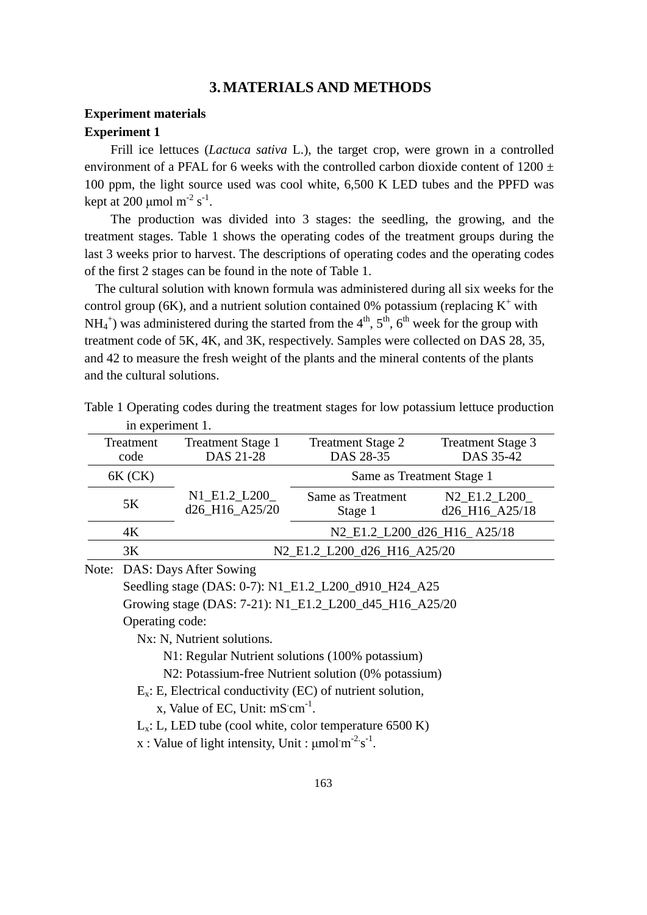## **3. MATERIALS AND METHODS**

## **Experiment materials Experiment 1**

Frill ice lettuces (*Lactuca sativa* L.), the target crop, were grown in a controlled environment of a PFAL for 6 weeks with the controlled carbon dioxide content of 1200  $\pm$ 100 ppm, the light source used was cool white, 6,500 K LED tubes and the PPFD was kept at 200  $\mu$ mol m<sup>-2</sup> s<sup>-1</sup>.

The production was divided into 3 stages: the seedling, the growing, and the treatment stages. Table 1 shows the operating codes of the treatment groups during the last 3 weeks prior to harvest. The descriptions of operating codes and the operating codes of the first 2 stages can be found in the note of Table 1.

The cultural solution with known formula was administered during all six weeks for the control group (6K), and a nutrient solution contained 0% potassium (replacing  $K^+$  with  $NH_4^+$ ) was administered during the started from the  $4<sup>th</sup>$ ,  $5<sup>th</sup>$ ,  $6<sup>th</sup>$  week for the group with treatment code of 5K, 4K, and 3K, respectively. Samples were collected on DAS 28, 35, and 42 to measure the fresh weight of the plants and the mineral contents of the plants and the cultural solutions.

| $\mathbf{m}$ $\mathbf{v}$ $\mathbf{v}$ $\mathbf{v}$ $\mathbf{v}$ $\mathbf{v}$ $\mathbf{v}$ $\mathbf{v}$ |                                       |                                       |                                                                    |
|---------------------------------------------------------------------------------------------------------|---------------------------------------|---------------------------------------|--------------------------------------------------------------------|
| Treatment<br>code                                                                                       | <b>Treatment Stage 1</b><br>DAS 21-28 | <b>Treatment Stage 2</b><br>DAS 28-35 | <b>Treatment Stage 3</b><br>DAS 35-42                              |
| $6K$ (CK)                                                                                               |                                       |                                       | Same as Treatment Stage 1                                          |
| 5K                                                                                                      | N1_E1.2_L200_<br>d26_H16_A25/20       | Same as Treatment<br>Stage 1          | N <sub>2</sub> E <sub>1.2</sub> L <sub>200</sub><br>d26_H16_A25/18 |
| 4K                                                                                                      |                                       |                                       | N2_E1.2_L200_d26_H16_A25/18                                        |
| 3K                                                                                                      |                                       | N2_E1.2_L200_d26_H16_A25/20           |                                                                    |

Table 1 Operating codes during the treatment stages for low potassium lettuce production in experiment 1.

Note: DAS: Days After Sowing

Seedling stage (DAS: 0-7): N1\_E1.2\_L200\_d910\_H24\_A25

Growing stage (DAS: 7-21): N1\_E1.2\_L200\_d45\_H16\_A25/20

Operating code:

Nx: N, Nutrient solutions.

N1: Regular Nutrient solutions (100% potassium)

N2: Potassium-free Nutrient solution (0% potassium)

 $E_x$ : E, Electrical conductivity (EC) of nutrient solution,

x, Value of EC, Unit:  $mS \, \text{cm}^{-1}$ .

 $L<sub>x</sub>$ : L, LED tube (cool white, color temperature 6500 K)

x : Value of light intensity, Unit :  $\mu$ mol $m^{-2}$ s<sup>-1</sup>.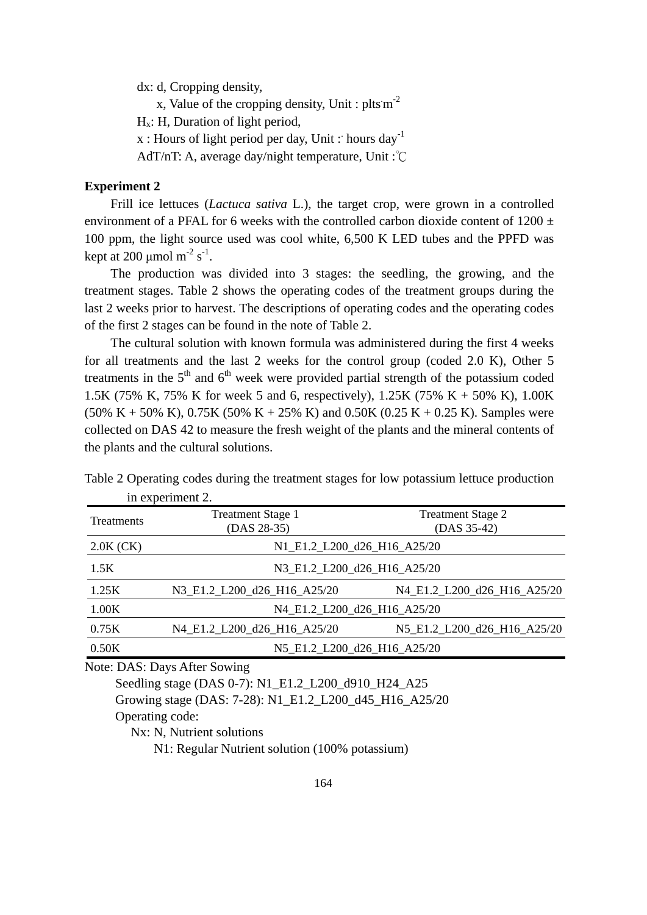dx: d, Cropping density,

x, Value of the cropping density, Unit:  $pltsm<sup>-2</sup>$ 

Hx: H, Duration of light period,

 $x:$  Hours of light period per day, Unit: hours day<sup>-1</sup>

AdT/nT: A, average day/night temperature, Unit :℃

#### **Experiment 2**

Frill ice lettuces (*Lactuca sativa* L.), the target crop, were grown in a controlled environment of a PFAL for 6 weeks with the controlled carbon dioxide content of 1200  $\pm$ 100 ppm, the light source used was cool white, 6,500 K LED tubes and the PPFD was kept at 200  $\mu$ mol m<sup>-2</sup> s<sup>-1</sup>.

The production was divided into 3 stages: the seedling, the growing, and the treatment stages. Table 2 shows the operating codes of the treatment groups during the last 2 weeks prior to harvest. The descriptions of operating codes and the operating codes of the first 2 stages can be found in the note of Table 2.

The cultural solution with known formula was administered during the first 4 weeks for all treatments and the last 2 weeks for the control group (coded 2.0 K), Other 5 treatments in the  $5<sup>th</sup>$  and  $6<sup>th</sup>$  week were provided partial strength of the potassium coded 1.5K (75% K, 75% K for week 5 and 6, respectively), 1.25K (75% K + 50% K), 1.00K  $(50\% K + 50\% K)$ , 0.75K  $(50\% K + 25\% K)$  and 0.50K  $(0.25 K + 0.25 K)$ . Samples were collected on DAS 42 to measure the fresh weight of the plants and the mineral contents of the plants and the cultural solutions.

| л.          |                                         |                                         |
|-------------|-----------------------------------------|-----------------------------------------|
| Treatments  | <b>Treatment Stage 1</b><br>(DAS 28-35) | <b>Treatment Stage 2</b><br>(DAS 35-42) |
| $2.0K$ (CK) |                                         | N1_E1.2_L200_d26_H16_A25/20             |
| 1.5K        |                                         | N3_E1.2_L200_d26_H16_A25/20             |
| 1.25K       | N3_E1.2_L200_d26_H16_A25/20             | N4_E1.2_L200_d26_H16_A25/20             |
| 1.00K       |                                         | N4_E1.2_L200_d26_H16_A25/20             |
| 0.75K       | N4 E1.2 L200 d26 H16 A25/20             | N5 E1.2 L200 d26 H16 A25/20             |
| 0.50K       |                                         | N5_E1.2_L200_d26_H16_A25/20             |
|             |                                         |                                         |

Table 2 Operating codes during the treatment stages for low potassium lettuce production in experiment 2.

Note: DAS: Days After Sowing

Seedling stage (DAS 0-7): N1\_E1.2\_L200\_d910\_H24\_A25

Growing stage (DAS: 7-28): N1\_E1.2\_L200\_d45\_H16\_A25/20

Operating code:

Nx: N, Nutrient solutions

N1: Regular Nutrient solution (100% potassium)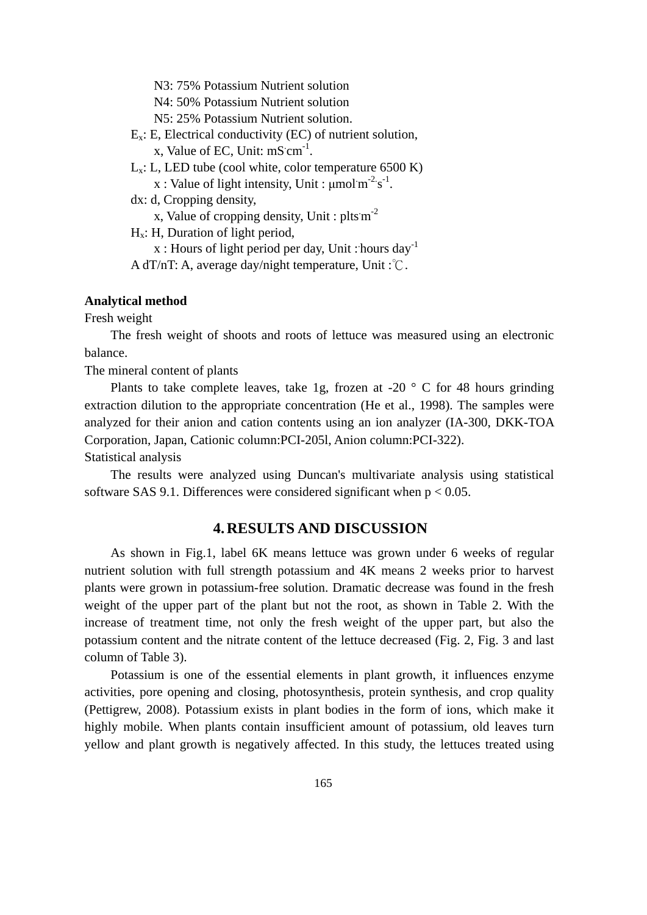N3: 75% Potassium Nutrient solution

N4: 50% Potassium Nutrient solution

N5: 25% Potassium Nutrient solution.

- $E_x$ : E, Electrical conductivity (EC) of nutrient solution, x, Value of EC, Unit:  $mS \, \text{cm}^{-1}$ .
- $L_x$ : L, LED tube (cool white, color temperature 6500 K)

x : Value of light intensity, Unit :  $\mu$ mol $m^{-2}$ s<sup>-1</sup>.

dx: d, Cropping density,

x, Value of cropping density, Unit : plts  $m^{-2}$ 

Hx: H, Duration of light period,

x : Hours of light period per day, Unit : hours day<sup>-1</sup>

A dT/nT: A, average day/night temperature, Unit :℃.

#### **Analytical method**

Fresh weight

The fresh weight of shoots and roots of lettuce was measured using an electronic balance.

The mineral content of plants

Plants to take complete leaves, take 1g, frozen at -20  $\degree$  C for 48 hours grinding extraction dilution to the appropriate concentration (He et al., 1998). The samples were analyzed for their anion and cation contents using an ion analyzer (IA-300, DKK-TOA Corporation, Japan, Cationic column:PCI-205l, Anion column:PCI-322).

Statistical analysis

The results were analyzed using Duncan's multivariate analysis using statistical software SAS 9.1. Differences were considered significant when  $p < 0.05$ .

## **4. RESULTS AND DISCUSSION**

As shown in Fig.1, label 6K means lettuce was grown under 6 weeks of regular nutrient solution with full strength potassium and 4K means 2 weeks prior to harvest plants were grown in potassium-free solution. Dramatic decrease was found in the fresh weight of the upper part of the plant but not the root, as shown in Table 2. With the increase of treatment time, not only the fresh weight of the upper part, but also the potassium content and the nitrate content of the lettuce decreased (Fig. 2, Fig. 3 and last column of Table 3).

Potassium is one of the essential elements in plant growth, it influences enzyme activities, pore opening and closing, photosynthesis, protein synthesis, and crop quality (Pettigrew, 2008). Potassium exists in plant bodies in the form of ions, which make it highly mobile. When plants contain insufficient amount of potassium, old leaves turn yellow and plant growth is negatively affected. In this study, the lettuces treated using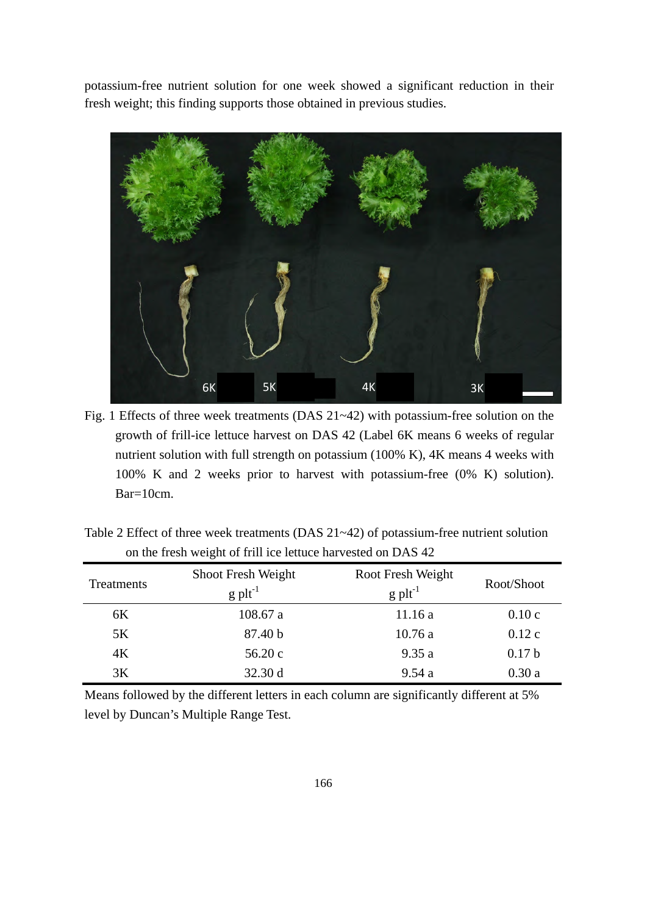potassium-free nutrient solution for one week showed a significant reduction in their fresh weight; this finding supports those obtained in previous studies.



Fig. 1 Effects of three week treatments (DAS 21~42) with potassium-free solution on the growth of frill-ice lettuce harvest on DAS 42 (Label 6K means 6 weeks of regular nutrient solution with full strength on potassium (100% K), 4K means 4 weeks with 100% K and 2 weeks prior to harvest with potassium-free (0% K) solution). Bar=10cm.

| Treatments | Shoot Fresh Weight<br>$g$ plt <sup>-1</sup> | Root Fresh Weight<br>$g$ plt <sup>-1</sup> | Root/Shoot        |
|------------|---------------------------------------------|--------------------------------------------|-------------------|
| 6K         | 108.67a                                     | 11.16a                                     | 0.10c             |
| 5K         | 87.40 b                                     | 10.76a                                     | 0.12c             |
| 4K         | 56.20c                                      | 9.35a                                      | 0.17 <sub>b</sub> |
| 3K         | 32.30 d                                     | 9.54a                                      | 0.30a             |

Table 2 Effect of three week treatments (DAS 21~42) of potassium-free nutrient solution on the fresh weight of frill ice lettuce harvested on DAS 42

Means followed by the different letters in each column are significantly different at 5% level by Duncan's Multiple Range Test.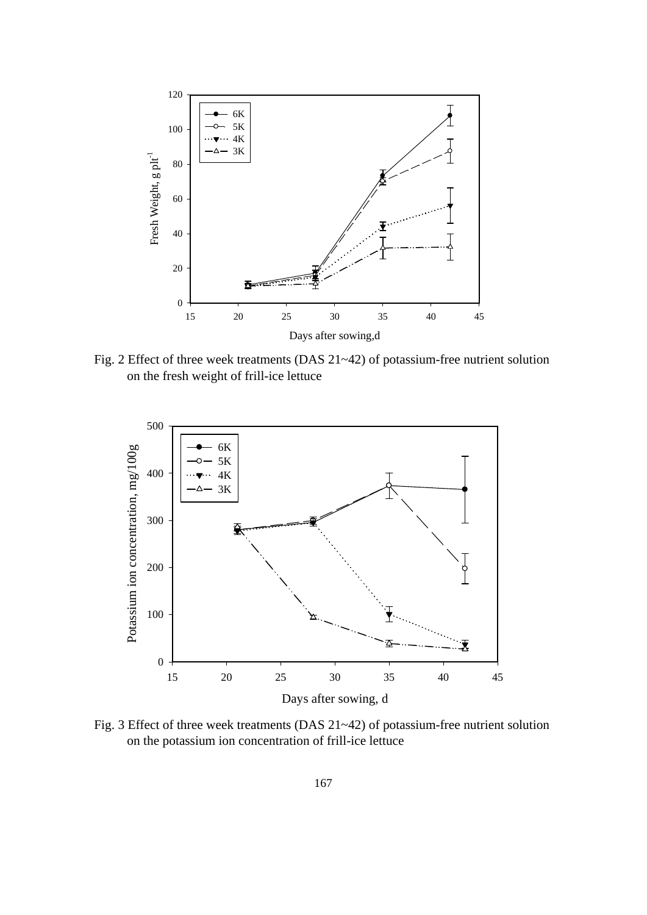

Fig. 2 Effect of three week treatments (DAS 21~42) of potassium-free nutrient solution on the fresh weight of frill-ice lettuce



Fig. 3 Effect of three week treatments (DAS 21~42) of potassium-free nutrient solution on the potassium ion concentration of frill-ice lettuce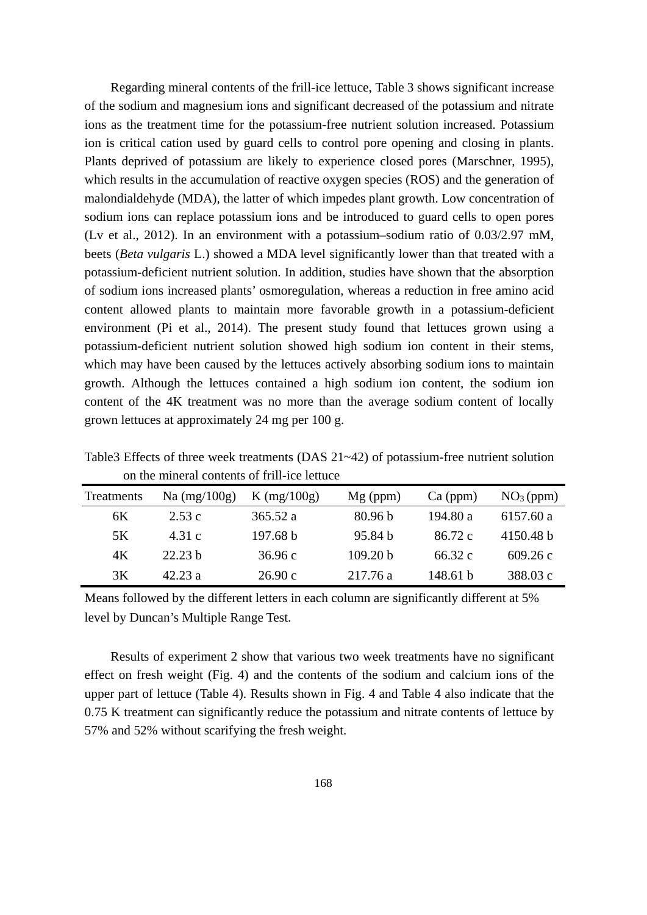Regarding mineral contents of the frill-ice lettuce, Table 3 shows significant increase of the sodium and magnesium ions and significant decreased of the potassium and nitrate ions as the treatment time for the potassium-free nutrient solution increased. Potassium ion is critical cation used by guard cells to control pore opening and closing in plants. Plants deprived of potassium are likely to experience closed pores (Marschner, 1995), which results in the accumulation of reactive oxygen species (ROS) and the generation of malondialdehyde (MDA), the latter of which impedes plant growth. Low concentration of sodium ions can replace potassium ions and be introduced to guard cells to open pores (Lv et al., 2012). In an environment with a potassium–sodium ratio of 0.03/2.97 mM, beets (*Beta vulgaris* L.) showed a MDA level significantly lower than that treated with a potassium-deficient nutrient solution. In addition, studies have shown that the absorption of sodium ions increased plants' osmoregulation, whereas a reduction in free amino acid content allowed plants to maintain more favorable growth in a potassium-deficient environment (Pi et al., 2014). The present study found that lettuces grown using a potassium-deficient nutrient solution showed high sodium ion content in their stems, which may have been caused by the lettuces actively absorbing sodium ions to maintain growth. Although the lettuces contained a high sodium ion content, the sodium ion content of the 4K treatment was no more than the average sodium content of locally grown lettuces at approximately 24 mg per 100 g.

|                                         | There Effects of three week deminishes $(D, 1)$ of $D$ pomotion free nutrient solution |            |                       |  |
|-----------------------------------------|----------------------------------------------------------------------------------------|------------|-----------------------|--|
|                                         | on the mineral contents of frill-ice lettuce                                           |            |                       |  |
| Treatments Na $(mg/100g)$ K $(mg/100g)$ |                                                                                        | $Mg$ (ppm) | $Ca (ppm)$ $NO3(ppm)$ |  |

Table3 Effects of three week treatments (DAS 21~42) of potassium-free nutrient solution

| Treatments | Na $(mg/100g)$     | $K$ (mg/100g) | $Mg$ (ppm) | $Ca$ (ppm) | NO <sub>3</sub> (ppm) |
|------------|--------------------|---------------|------------|------------|-----------------------|
| 6K         | 2.53c              | 365.52a       | 80.96 b    | 194.80 a   | 6157.60 a             |
| 5K         | 4.31 c             | 197.68 b      | 95.84 b    | 86.72 c    | 4150.48 b             |
| 4K         | 22.23 <sub>b</sub> | 36.96c        | 109.20 b   | 66.32 c    | 609.26c               |
| 3K         | 42.23 a            | 26.90c        | 217.76 a   | 148.61 b   | 388.03 c              |

Means followed by the different letters in each column are significantly different at 5% level by Duncan's Multiple Range Test.

Results of experiment 2 show that various two week treatments have no significant effect on fresh weight (Fig. 4) and the contents of the sodium and calcium ions of the upper part of lettuce (Table 4). Results shown in Fig. 4 and Table 4 also indicate that the 0.75 K treatment can significantly reduce the potassium and nitrate contents of lettuce by 57% and 52% without scarifying the fresh weight.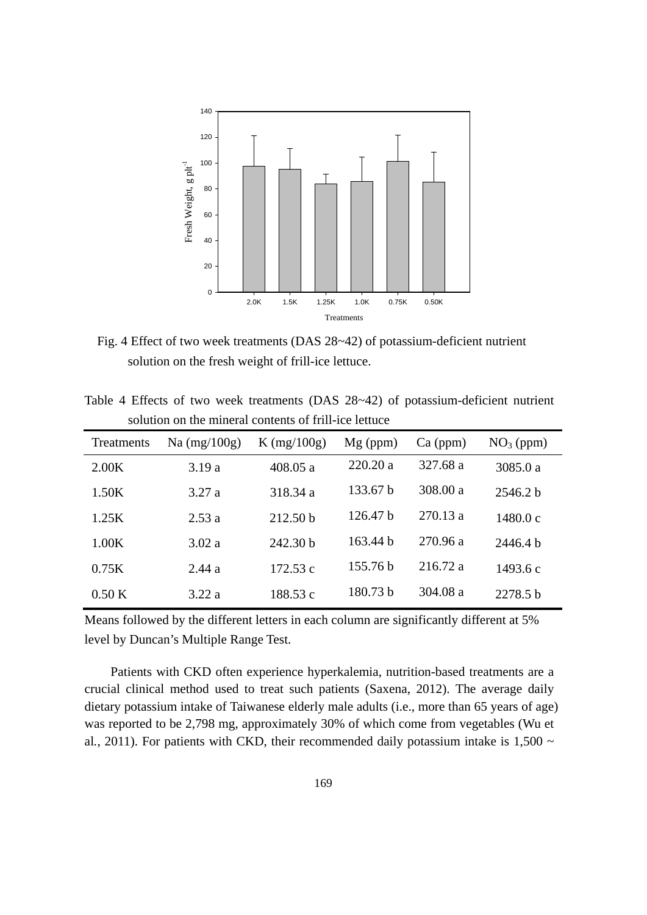

Fig. 4 Effect of two week treatments (DAS 28~42) of potassium-deficient nutrient solution on the fresh weight of frill-ice lettuce.

|  |  |  |                                                       |  | Table 4 Effects of two week treatments (DAS $28-42$ ) of potassium-deficient nutrient |  |
|--|--|--|-------------------------------------------------------|--|---------------------------------------------------------------------------------------|--|
|  |  |  | solution on the mineral contents of frill-ice lettuce |  |                                                                                       |  |

| Treatments | $Na$ (mg/100g) | K $(mg/100g)$ | $Mg$ (ppm) | $Ca$ (ppm) | $NO3$ (ppm) |
|------------|----------------|---------------|------------|------------|-------------|
| 2.00K      | 3.19a          | 408.05a       | 220.20a    | 327.68 a   | 3085.0 a    |
| 1.50K      | 3.27a          | 318.34 a      | 133.67 b   | 308.00 a   | 2546.2 b    |
| 1.25K      | 2.53a          | 212.50 b      | 126.47 b   | 270.13 a   | 1480.0c     |
| 1.00K      | 3.02a          | 242.30 b      | 163.44 b   | 270.96 a   | 2446.4 b    |
| 0.75K      | 2.44a          | 172.53 c      | 155.76 b   | 216.72 a   | 1493.6 c    |
| 0.50K      | 3.22a          | 188.53 c      | 180.73 b   | 304.08 a   | 2278.5 b    |

Means followed by the different letters in each column are significantly different at 5% level by Duncan's Multiple Range Test.

Patients with CKD often experience hyperkalemia, nutrition-based treatments are a crucial clinical method used to treat such patients (Saxena, 2012). The average daily dietary potassium intake of Taiwanese elderly male adults (i.e., more than 65 years of age) was reported to be 2,798 mg, approximately 30% of which come from vegetables (Wu et al., 2011). For patients with CKD, their recommended daily potassium intake is  $1,500 \sim$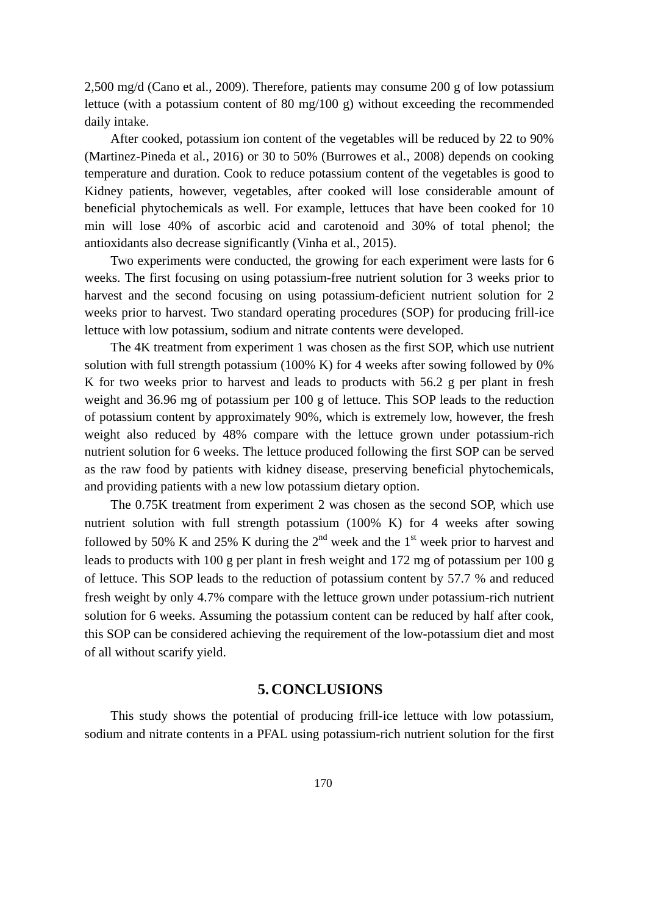2,500 mg/d (Cano et al., 2009). Therefore, patients may consume 200 g of low potassium lettuce (with a potassium content of 80 mg/100 g) without exceeding the recommended daily intake.

After cooked, potassium ion content of the vegetables will be reduced by 22 to 90% (Martinez-Pineda et al*.*, 2016) or 30 to 50% (Burrowes et al*.*, 2008) depends on cooking temperature and duration. Cook to reduce potassium content of the vegetables is good to Kidney patients, however, vegetables, after cooked will lose considerable amount of beneficial phytochemicals as well. For example, lettuces that have been cooked for 10 min will lose 40% of ascorbic acid and carotenoid and 30% of total phenol; the antioxidants also decrease significantly (Vinha et al*.*, 2015).

Two experiments were conducted, the growing for each experiment were lasts for 6 weeks. The first focusing on using potassium-free nutrient solution for 3 weeks prior to harvest and the second focusing on using potassium-deficient nutrient solution for 2 weeks prior to harvest. Two standard operating procedures (SOP) for producing frill-ice lettuce with low potassium, sodium and nitrate contents were developed.

The 4K treatment from experiment 1 was chosen as the first SOP, which use nutrient solution with full strength potassium (100% K) for 4 weeks after sowing followed by 0% K for two weeks prior to harvest and leads to products with 56.2 g per plant in fresh weight and 36.96 mg of potassium per 100 g of lettuce. This SOP leads to the reduction of potassium content by approximately 90%, which is extremely low, however, the fresh weight also reduced by 48% compare with the lettuce grown under potassium-rich nutrient solution for 6 weeks. The lettuce produced following the first SOP can be served as the raw food by patients with kidney disease, preserving beneficial phytochemicals, and providing patients with a new low potassium dietary option.

The 0.75K treatment from experiment 2 was chosen as the second SOP, which use nutrient solution with full strength potassium (100% K) for 4 weeks after sowing followed by 50% K and 25% K during the  $2<sup>nd</sup>$  week and the 1<sup>st</sup> week prior to harvest and leads to products with 100 g per plant in fresh weight and 172 mg of potassium per 100 g of lettuce. This SOP leads to the reduction of potassium content by 57.7 % and reduced fresh weight by only 4.7% compare with the lettuce grown under potassium-rich nutrient solution for 6 weeks. Assuming the potassium content can be reduced by half after cook, this SOP can be considered achieving the requirement of the low-potassium diet and most of all without scarify yield.

#### **5. CONCLUSIONS**

This study shows the potential of producing frill-ice lettuce with low potassium, sodium and nitrate contents in a PFAL using potassium-rich nutrient solution for the first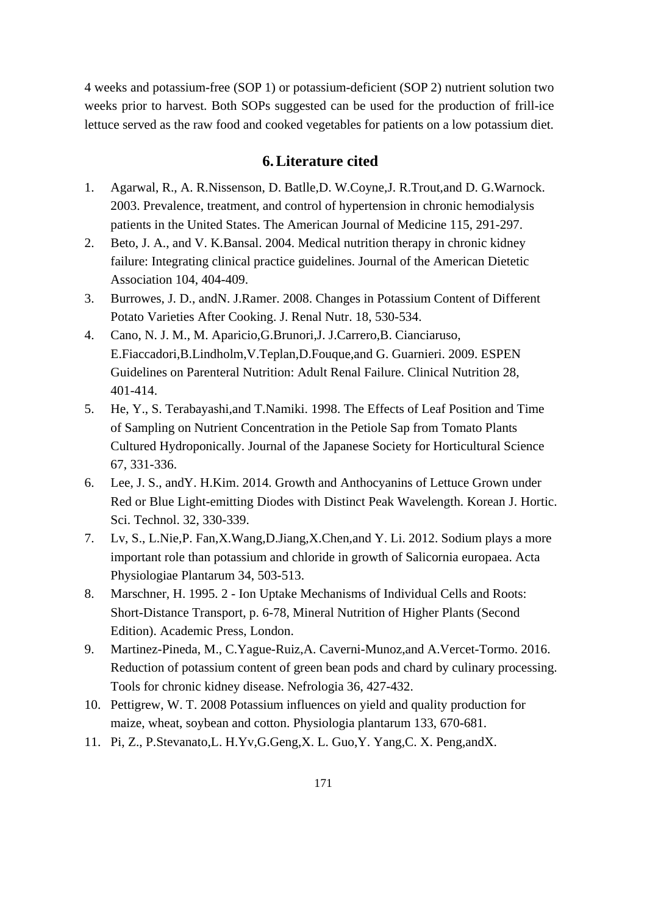4 weeks and potassium-free (SOP 1) or potassium-deficient (SOP 2) nutrient solution two weeks prior to harvest. Both SOPs suggested can be used for the production of frill-ice lettuce served as the raw food and cooked vegetables for patients on a low potassium diet.

# **6. Literature cited**

- 1. Agarwal, R., A. R.Nissenson, D. Batlle,D. W.Coyne,J. R.Trout,and D. G.Warnock. 2003. Prevalence, treatment, and control of hypertension in chronic hemodialysis patients in the United States. The American Journal of Medicine 115, 291-297.
- 2. Beto, J. A., and V. K.Bansal. 2004. Medical nutrition therapy in chronic kidney failure: Integrating clinical practice guidelines. Journal of the American Dietetic Association 104, 404-409.
- 3. Burrowes, J. D., andN. J.Ramer. 2008. Changes in Potassium Content of Different Potato Varieties After Cooking. J. Renal Nutr. 18, 530-534.
- 4. Cano, N. J. M., M. Aparicio,G.Brunori,J. J.Carrero,B. Cianciaruso, E.Fiaccadori,B.Lindholm,V.Teplan,D.Fouque,and G. Guarnieri. 2009. ESPEN Guidelines on Parenteral Nutrition: Adult Renal Failure. Clinical Nutrition 28, 401-414.
- 5. He, Y., S. Terabayashi,and T.Namiki. 1998. The Effects of Leaf Position and Time of Sampling on Nutrient Concentration in the Petiole Sap from Tomato Plants Cultured Hydroponically. Journal of the Japanese Society for Horticultural Science 67, 331-336.
- 6. Lee, J. S., andY. H.Kim. 2014. Growth and Anthocyanins of Lettuce Grown under Red or Blue Light-emitting Diodes with Distinct Peak Wavelength. Korean J. Hortic. Sci. Technol. 32, 330-339.
- 7. Lv, S., L.Nie,P. Fan,X.Wang,D.Jiang,X.Chen,and Y. Li. 2012. Sodium plays a more important role than potassium and chloride in growth of Salicornia europaea. Acta Physiologiae Plantarum 34, 503-513.
- 8. Marschner, H. 1995. 2 Ion Uptake Mechanisms of Individual Cells and Roots: Short-Distance Transport, p. 6-78, Mineral Nutrition of Higher Plants (Second Edition). Academic Press, London.
- 9. Martinez-Pineda, M., C.Yague-Ruiz,A. Caverni-Munoz,and A.Vercet-Tormo. 2016. Reduction of potassium content of green bean pods and chard by culinary processing. Tools for chronic kidney disease. Nefrologia 36, 427-432.
- 10. Pettigrew, W. T. 2008 Potassium influences on yield and quality production for maize, wheat, soybean and cotton. Physiologia plantarum 133, 670-681.
- 11. Pi, Z., P.Stevanato,L. H.Yv,G.Geng,X. L. Guo,Y. Yang,C. X. Peng,andX.